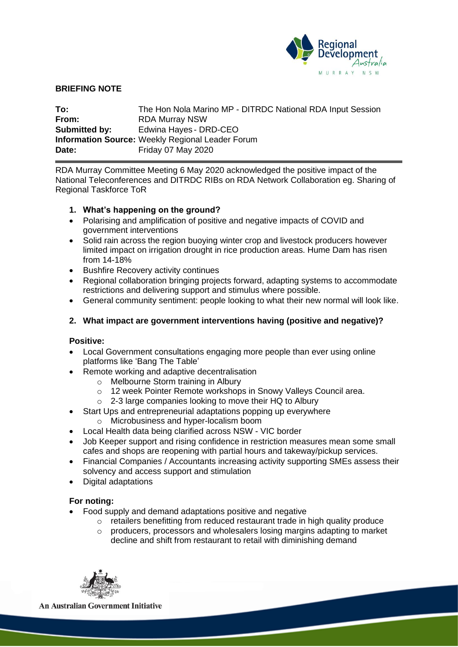

## **BRIEFING NOTE**

**To:** The Hon Nola Marino MP - DITRDC National RDA Input Session **From:** RDA Murray NSW **Submitted by:** Edwina Hayes - DRD-CEO **Information Source:** Weekly Regional Leader Forum **Date:** Friday 07 May 2020

RDA Murray Committee Meeting 6 May 2020 acknowledged the positive impact of the National Teleconferences and DITRDC RIBs on RDA Network Collaboration eg. Sharing of Regional Taskforce ToR

## **1. What's happening on the ground?**

- Polarising and amplification of positive and negative impacts of COVID and government interventions
- Solid rain across the region buoying winter crop and livestock producers however limited impact on irrigation drought in rice production areas. Hume Dam has risen from 14-18%
- Bushfire Recovery activity continues
- Regional collaboration bringing projects forward, adapting systems to accommodate restrictions and delivering support and stimulus where possible.
- General community sentiment: people looking to what their new normal will look like.

## **2. What impact are government interventions having (positive and negative)?**

#### **Positive:**

- Local Government consultations engaging more people than ever using online platforms like 'Bang The Table'
- Remote working and adaptive decentralisation
	- o Melbourne Storm training in Albury
	- o 12 week Pointer Remote workshops in Snowy Valleys Council area.
	- $\circ$  2-3 large companies looking to move their HQ to Albury
- Start Ups and entrepreneurial adaptations popping up everywhere
	- o Microbusiness and hyper-localism boom
- Local Health data being clarified across NSW VIC border
- Job Keeper support and rising confidence in restriction measures mean some small cafes and shops are reopening with partial hours and takeway/pickup services.
- Financial Companies / Accountants increasing activity supporting SMEs assess their solvency and access support and stimulation
- Digital adaptations

#### **For noting:**

- Food supply and demand adaptations positive and negative
	- o retailers benefitting from reduced restaurant trade in high quality produce
		- $\circ$  producers, processors and wholesalers losing margins adapting to market decline and shift from restaurant to retail with diminishing demand



**An Australian Government Initiative**